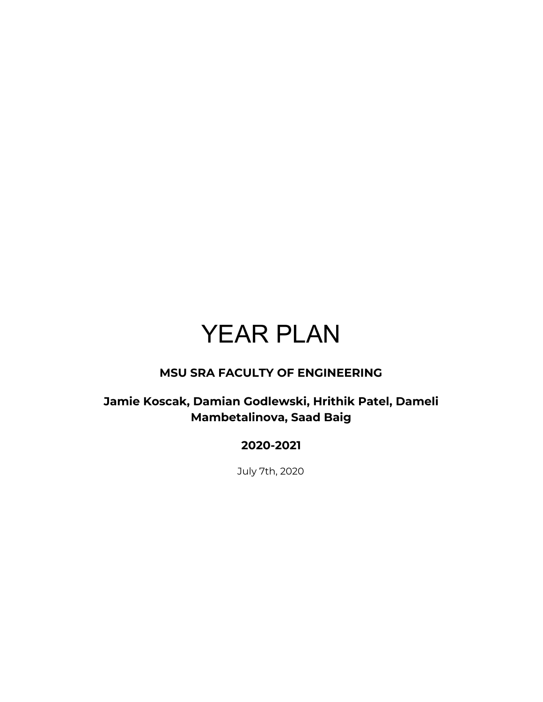# YEAR PLAN

#### **MSU SRA FACULTY OF ENGINEERING**

#### **Jamie Koscak, Damian Godlewski, Hrithik Patel, Dameli Mambetalinova, Saad Baig**

#### **2020-2021**

July 7th, 2020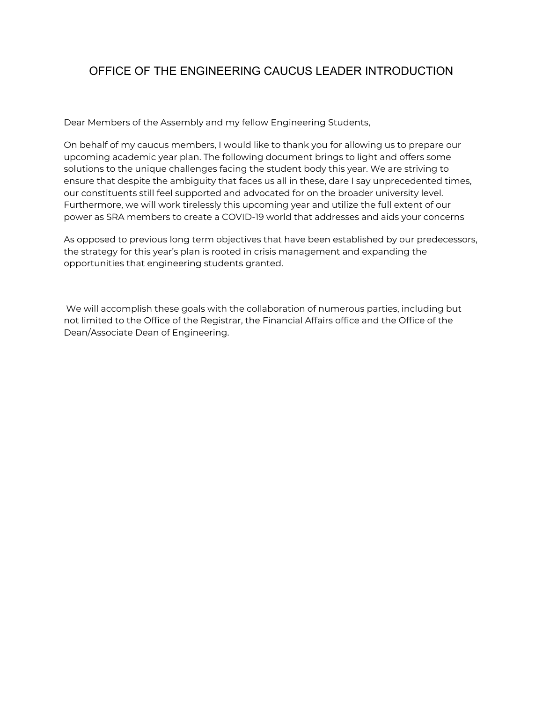#### OFFICE OF THE ENGINEERING CAUCUS LEADER INTRODUCTION

Dear Members of the Assembly and my fellow Engineering Students,

On behalf of my caucus members, I would like to thank you for allowing us to prepare our upcoming academic year plan. The following document brings to light and offers some solutions to the unique challenges facing the student body this year. We are striving to ensure that despite the ambiguity that faces us all in these, dare I say unprecedented times, our constituents still feel supported and advocated for on the broader university level. Furthermore, we will work tirelessly this upcoming year and utilize the full extent of our power as SRA members to create a COVID-19 world that addresses and aids your concerns

As opposed to previous long term objectives that have been established by our predecessors, the strategy for this year's plan is rooted in crisis management and expanding the opportunities that engineering students granted.

We will accomplish these goals with the collaboration of numerous parties, including but not limited to the Office of the Registrar, the Financial Affairs office and the Office of the Dean/Associate Dean of Engineering.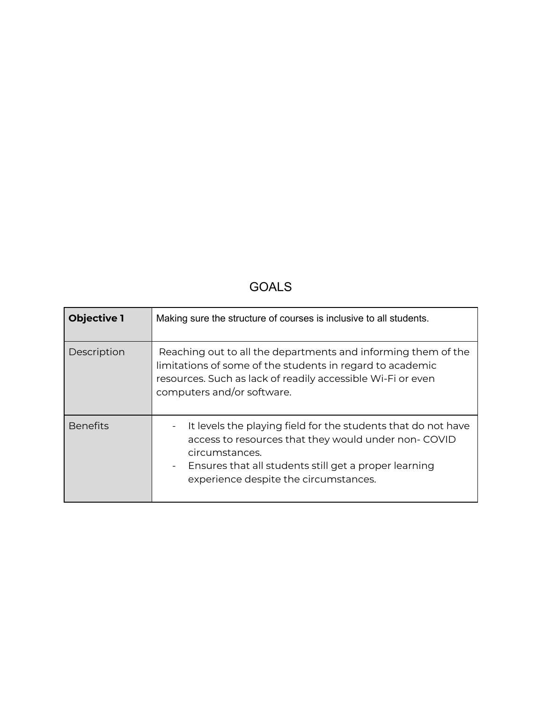## GOALS

| <b>Objective 1</b> | Making sure the structure of courses is inclusive to all students.                                                                                                                                                                                  |
|--------------------|-----------------------------------------------------------------------------------------------------------------------------------------------------------------------------------------------------------------------------------------------------|
| Description        | Reaching out to all the departments and informing them of the<br>limitations of some of the students in regard to academic<br>resources. Such as lack of readily accessible Wi-Fi or even<br>computers and/or software.                             |
| <b>Benefits</b>    | It levels the playing field for the students that do not have<br>access to resources that they would under non- COVID<br>circumstances.<br>Ensures that all students still get a proper learning<br>$\sim$<br>experience despite the circumstances. |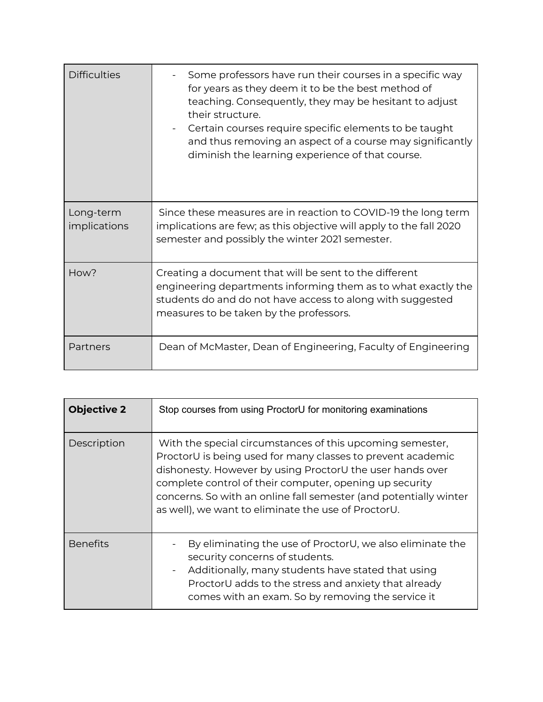| <b>Difficulties</b>       | Some professors have run their courses in a specific way<br>for years as they deem it to be the best method of<br>teaching. Consequently, they may be hesitant to adjust<br>their structure.<br>Certain courses require specific elements to be taught<br>and thus removing an aspect of a course may significantly<br>diminish the learning experience of that course. |
|---------------------------|-------------------------------------------------------------------------------------------------------------------------------------------------------------------------------------------------------------------------------------------------------------------------------------------------------------------------------------------------------------------------|
| Long-term<br>implications | Since these measures are in reaction to COVID-19 the long term<br>implications are few; as this objective will apply to the fall 2020<br>semester and possibly the winter 2021 semester.                                                                                                                                                                                |
| How?                      | Creating a document that will be sent to the different<br>engineering departments informing them as to what exactly the<br>students do and do not have access to along with suggested<br>measures to be taken by the professors.                                                                                                                                        |
| Partners                  | Dean of McMaster, Dean of Engineering, Faculty of Engineering                                                                                                                                                                                                                                                                                                           |

| <b>Objective 2</b> | Stop courses from using ProctorU for monitoring examinations                                                                                                                                                                                                                                                                                                                 |
|--------------------|------------------------------------------------------------------------------------------------------------------------------------------------------------------------------------------------------------------------------------------------------------------------------------------------------------------------------------------------------------------------------|
| Description        | With the special circumstances of this upcoming semester,<br>ProctorU is being used for many classes to prevent academic<br>dishonesty. However by using ProctorU the user hands over<br>complete control of their computer, opening up security<br>concerns. So with an online fall semester (and potentially winter<br>as well), we want to eliminate the use of ProctorU. |
| <b>Benefits</b>    | By eliminating the use of ProctorU, we also eliminate the<br>security concerns of students.<br>Additionally, many students have stated that using<br>$\overline{\phantom{a}}$<br>ProctorU adds to the stress and anxiety that already<br>comes with an exam. So by removing the service it                                                                                   |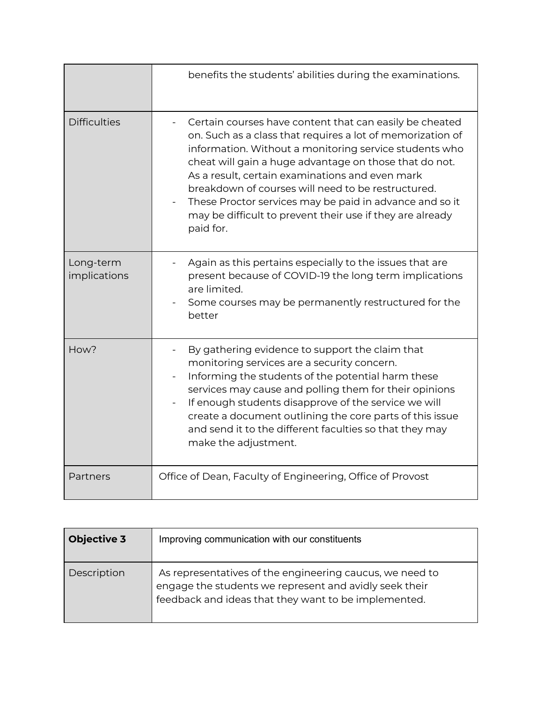|                           | benefits the students' abilities during the examinations.                                                                                                                                                                                                                                                                                                                                                                                                                               |
|---------------------------|-----------------------------------------------------------------------------------------------------------------------------------------------------------------------------------------------------------------------------------------------------------------------------------------------------------------------------------------------------------------------------------------------------------------------------------------------------------------------------------------|
| <b>Difficulties</b>       | Certain courses have content that can easily be cheated<br>on. Such as a class that requires a lot of memorization of<br>information. Without a monitoring service students who<br>cheat will gain a huge advantage on those that do not.<br>As a result, certain examinations and even mark<br>breakdown of courses will need to be restructured.<br>These Proctor services may be paid in advance and so it<br>may be difficult to prevent their use if they are already<br>paid for. |
| Long-term<br>implications | Again as this pertains especially to the issues that are<br>present because of COVID-19 the long term implications<br>are limited.<br>Some courses may be permanently restructured for the<br>better                                                                                                                                                                                                                                                                                    |
| How?                      | By gathering evidence to support the claim that<br>monitoring services are a security concern.<br>Informing the students of the potential harm these<br>services may cause and polling them for their opinions<br>If enough students disapprove of the service we will<br>create a document outlining the core parts of this issue<br>and send it to the different faculties so that they may<br>make the adjustment.                                                                   |
| Partners                  | Office of Dean, Faculty of Engineering, Office of Provost                                                                                                                                                                                                                                                                                                                                                                                                                               |

| <b>Objective 3</b> | Improving communication with our constituents                                                                                                                              |
|--------------------|----------------------------------------------------------------------------------------------------------------------------------------------------------------------------|
| Description        | As representatives of the engineering caucus, we need to<br>engage the students we represent and avidly seek their<br>feedback and ideas that they want to be implemented. |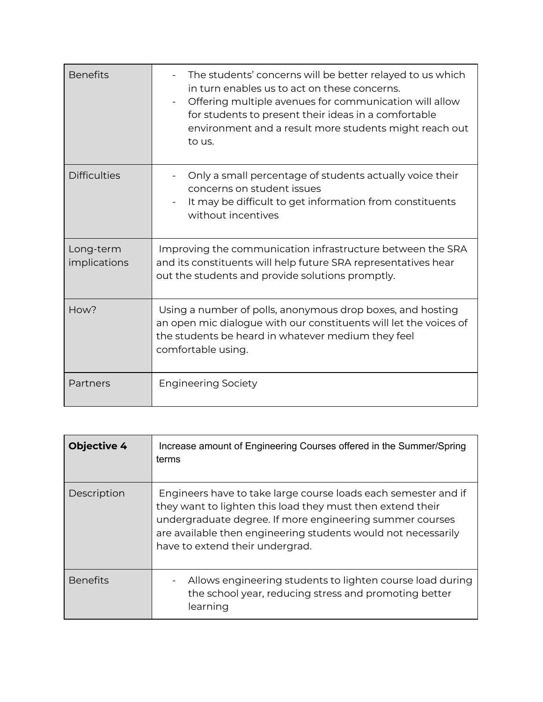| <b>Benefits</b>           | The students' concerns will be better relayed to us which<br>in turn enables us to act on these concerns.<br>Offering multiple avenues for communication will allow<br>for students to present their ideas in a comfortable<br>environment and a result more students might reach out<br>to us. |
|---------------------------|-------------------------------------------------------------------------------------------------------------------------------------------------------------------------------------------------------------------------------------------------------------------------------------------------|
| <b>Difficulties</b>       | Only a small percentage of students actually voice their<br>concerns on student issues<br>It may be difficult to get information from constituents<br>without incentives                                                                                                                        |
| Long-term<br>implications | Improving the communication infrastructure between the SRA<br>and its constituents will help future SRA representatives hear<br>out the students and provide solutions promptly.                                                                                                                |
| How?                      | Using a number of polls, anonymous drop boxes, and hosting<br>an open mic dialogue with our constituents will let the voices of<br>the students be heard in whatever medium they feel<br>comfortable using.                                                                                     |
| Partners                  | <b>Engineering Society</b>                                                                                                                                                                                                                                                                      |

| <b>Objective 4</b> | Increase amount of Engineering Courses offered in the Summer/Spring<br>terms                                                                                                                                                                                                                 |
|--------------------|----------------------------------------------------------------------------------------------------------------------------------------------------------------------------------------------------------------------------------------------------------------------------------------------|
| Description        | Engineers have to take large course loads each semester and if<br>they want to lighten this load they must then extend their<br>undergraduate degree. If more engineering summer courses<br>are available then engineering students would not necessarily<br>have to extend their undergrad. |
| <b>Benefits</b>    | Allows engineering students to lighten course load during<br>the school year, reducing stress and promoting better<br>learning                                                                                                                                                               |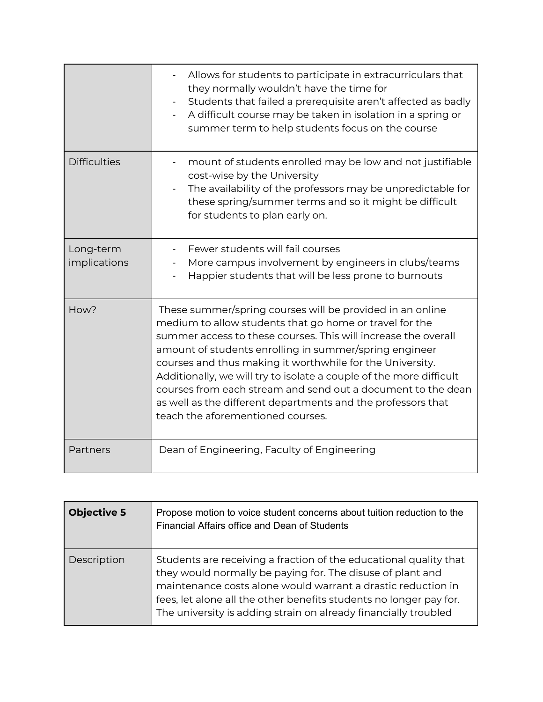|                           | Allows for students to participate in extracurriculars that<br>they normally wouldn't have the time for<br>Students that failed a prerequisite aren't affected as badly<br>A difficult course may be taken in isolation in a spring or<br>$\overline{\phantom{a}}$<br>summer term to help students focus on the course                                                                                                                                                                                                                                    |
|---------------------------|-----------------------------------------------------------------------------------------------------------------------------------------------------------------------------------------------------------------------------------------------------------------------------------------------------------------------------------------------------------------------------------------------------------------------------------------------------------------------------------------------------------------------------------------------------------|
| <b>Difficulties</b>       | mount of students enrolled may be low and not justifiable<br>cost-wise by the University<br>The availability of the professors may be unpredictable for<br>these spring/summer terms and so it might be difficult<br>for students to plan early on.                                                                                                                                                                                                                                                                                                       |
| Long-term<br>implications | Fewer students will fail courses<br>More campus involvement by engineers in clubs/teams<br>Happier students that will be less prone to burnouts                                                                                                                                                                                                                                                                                                                                                                                                           |
| How?                      | These summer/spring courses will be provided in an online<br>medium to allow students that go home or travel for the<br>summer access to these courses. This will increase the overall<br>amount of students enrolling in summer/spring engineer<br>courses and thus making it worthwhile for the University.<br>Additionally, we will try to isolate a couple of the more difficult<br>courses from each stream and send out a document to the dean<br>as well as the different departments and the professors that<br>teach the aforementioned courses. |
| Partners                  | Dean of Engineering, Faculty of Engineering                                                                                                                                                                                                                                                                                                                                                                                                                                                                                                               |

| <b>Objective 5</b> | Propose motion to voice student concerns about tuition reduction to the<br>Financial Affairs office and Dean of Students                                                                                                                                                                                                                 |
|--------------------|------------------------------------------------------------------------------------------------------------------------------------------------------------------------------------------------------------------------------------------------------------------------------------------------------------------------------------------|
| Description        | Students are receiving a fraction of the educational quality that<br>they would normally be paying for. The disuse of plant and<br>maintenance costs alone would warrant a drastic reduction in<br>fees, let alone all the other benefits students no longer pay for.<br>The university is adding strain on already financially troubled |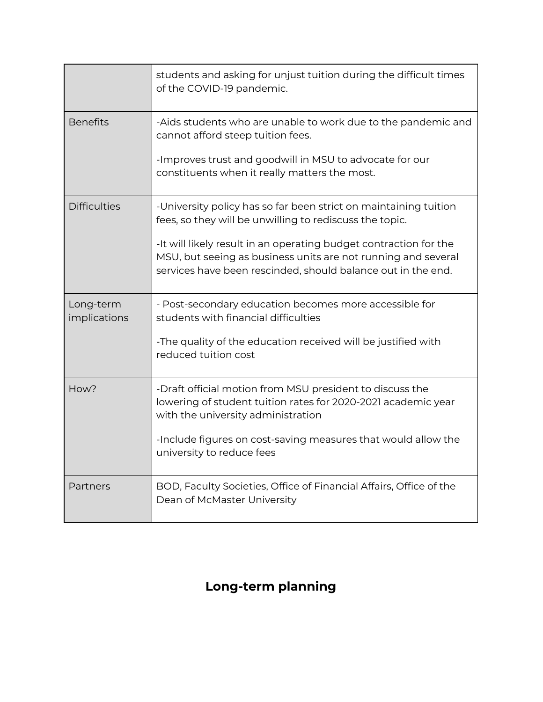|                           | students and asking for unjust tuition during the difficult times<br>of the COVID-19 pandemic.                                                                                                     |
|---------------------------|----------------------------------------------------------------------------------------------------------------------------------------------------------------------------------------------------|
| <b>Benefits</b>           | -Aids students who are unable to work due to the pandemic and<br>cannot afford steep tuition fees.                                                                                                 |
|                           | -Improves trust and goodwill in MSU to advocate for our<br>constituents when it really matters the most.                                                                                           |
| <b>Difficulties</b>       | -University policy has so far been strict on maintaining tuition<br>fees, so they will be unwilling to rediscuss the topic.                                                                        |
|                           | -It will likely result in an operating budget contraction for the<br>MSU, but seeing as business units are not running and several<br>services have been rescinded, should balance out in the end. |
| Long-term<br>implications | - Post-secondary education becomes more accessible for<br>students with financial difficulties                                                                                                     |
|                           | -The quality of the education received will be justified with<br>reduced tuition cost                                                                                                              |
| How?                      | -Draft official motion from MSU president to discuss the<br>lowering of student tuition rates for 2020-2021 academic year<br>with the university administration                                    |
|                           | -Include figures on cost-saving measures that would allow the<br>university to reduce fees                                                                                                         |
| Partners                  | BOD, Faculty Societies, Office of Financial Affairs, Office of the<br>Dean of McMaster University                                                                                                  |

## **Long-term planning**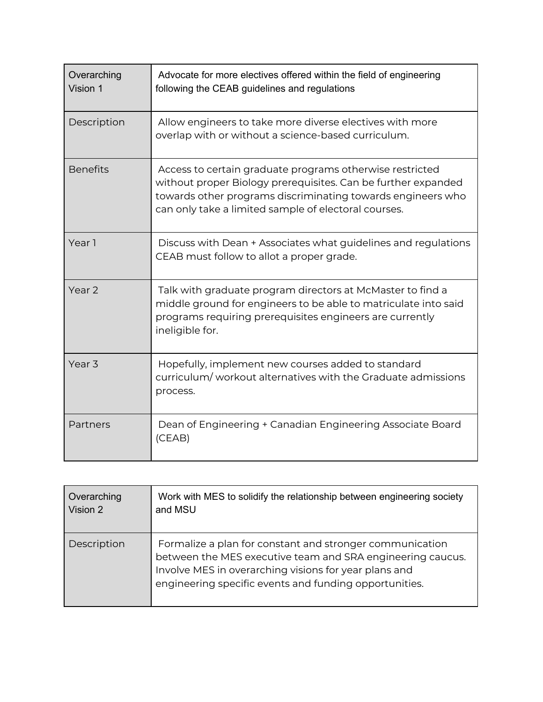| Overarching<br>Vision 1 | Advocate for more electives offered within the field of engineering<br>following the CEAB guidelines and regulations                                                                                                                             |
|-------------------------|--------------------------------------------------------------------------------------------------------------------------------------------------------------------------------------------------------------------------------------------------|
| Description             | Allow engineers to take more diverse electives with more<br>overlap with or without a science-based curriculum.                                                                                                                                  |
| <b>Benefits</b>         | Access to certain graduate programs otherwise restricted<br>without proper Biology prerequisites. Can be further expanded<br>towards other programs discriminating towards engineers who<br>can only take a limited sample of electoral courses. |
| Year 1                  | Discuss with Dean + Associates what guidelines and regulations<br>CEAB must follow to allot a proper grade.                                                                                                                                      |
| Year 2                  | Talk with graduate program directors at McMaster to find a<br>middle ground for engineers to be able to matriculate into said<br>programs requiring prerequisites engineers are currently<br>ineligible for.                                     |
| Year <sub>3</sub>       | Hopefully, implement new courses added to standard<br>curriculum/workout alternatives with the Graduate admissions<br>process.                                                                                                                   |
| Partners                | Dean of Engineering + Canadian Engineering Associate Board<br>(CEAB)                                                                                                                                                                             |

| Overarching | Work with MES to solidify the relationship between engineering society                                                                                                                                                                    |
|-------------|-------------------------------------------------------------------------------------------------------------------------------------------------------------------------------------------------------------------------------------------|
| Vision 2    | and MSU                                                                                                                                                                                                                                   |
| Description | Formalize a plan for constant and stronger communication<br>between the MES executive team and SRA engineering caucus.<br>Involve MES in overarching visions for year plans and<br>engineering specific events and funding opportunities. |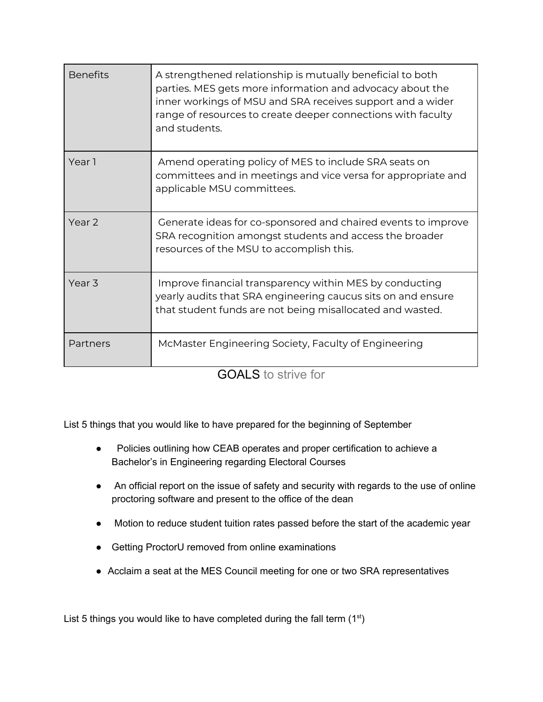| <b>Benefits</b>   | A strengthened relationship is mutually beneficial to both<br>parties. MES gets more information and advocacy about the<br>inner workings of MSU and SRA receives support and a wider<br>range of resources to create deeper connections with faculty<br>and students. |
|-------------------|------------------------------------------------------------------------------------------------------------------------------------------------------------------------------------------------------------------------------------------------------------------------|
| Year 1            | Amend operating policy of MES to include SRA seats on<br>committees and in meetings and vice versa for appropriate and<br>applicable MSU committees.                                                                                                                   |
| Year 2            | Generate ideas for co-sponsored and chaired events to improve<br>SRA recognition amongst students and access the broader<br>resources of the MSU to accomplish this.                                                                                                   |
| Year <sub>3</sub> | Improve financial transparency within MES by conducting<br>yearly audits that SRA engineering caucus sits on and ensure<br>that student funds are not being misallocated and wasted.                                                                                   |
| Partners          | McMaster Engineering Society, Faculty of Engineering                                                                                                                                                                                                                   |

GOALS to strive for

List 5 things that you would like to have prepared for the beginning of September

- Policies outlining how CEAB operates and proper certification to achieve a Bachelor's in Engineering regarding Electoral Courses
- An official report on the issue of safety and security with regards to the use of online proctoring software and present to the office of the dean
- Motion to reduce student tuition rates passed before the start of the academic year
- Getting ProctorU removed from online examinations
- Acclaim a seat at the MES Council meeting for one or two SRA representatives

List 5 things you would like to have completed during the fall term  $(1<sup>st</sup>)$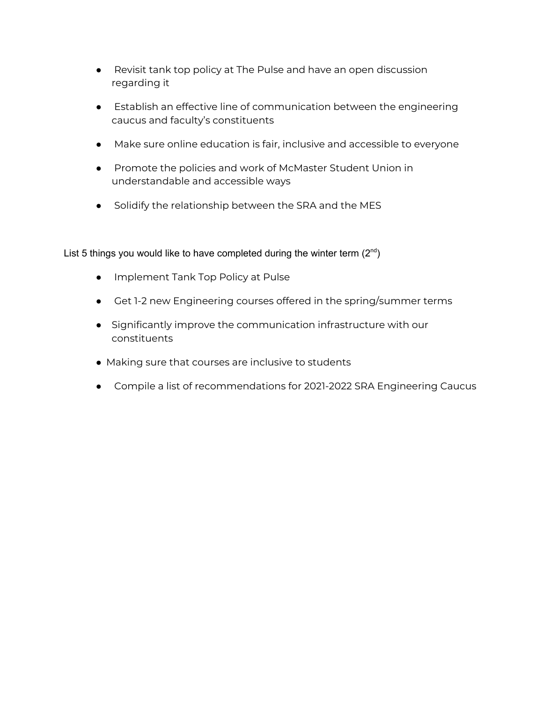- Revisit tank top policy at The Pulse and have an open discussion regarding it
- Establish an effective line of communication between the engineering caucus and faculty's constituents
- Make sure online education is fair, inclusive and accessible to everyone
- Promote the policies and work of McMaster Student Union in understandable and accessible ways
- Solidify the relationship between the SRA and the MES

List 5 things you would like to have completed during the winter term  $(2^{nd})$ 

- Implement Tank Top Policy at Pulse
- Get 1-2 new Engineering courses offered in the spring/summer terms
- Significantly improve the communication infrastructure with our constituents
- Making sure that courses are inclusive to students
- Compile a list of recommendations for 2021-2022 SRA Engineering Caucus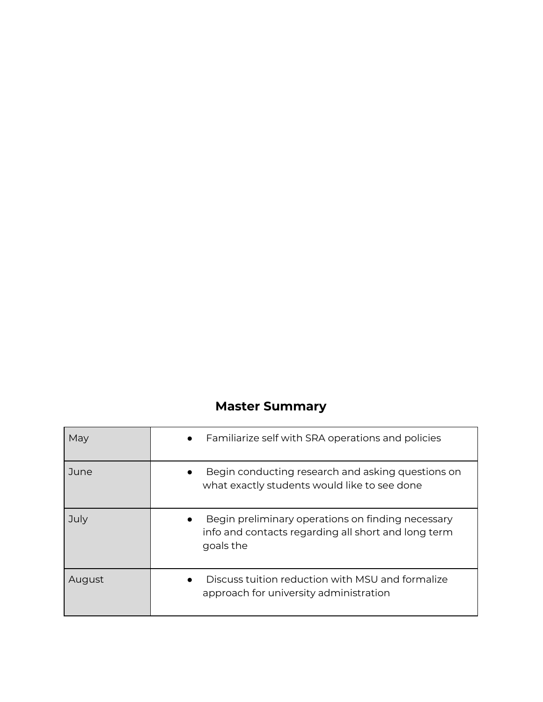### **Master Summary**

| May    | Familiarize self with SRA operations and policies<br>$\bullet$                                                        |
|--------|-----------------------------------------------------------------------------------------------------------------------|
| June   | Begin conducting research and asking questions on<br>what exactly students would like to see done                     |
| July   | Begin preliminary operations on finding necessary<br>info and contacts regarding all short and long term<br>goals the |
| August | Discuss tuition reduction with MSU and formalize<br>approach for university administration                            |